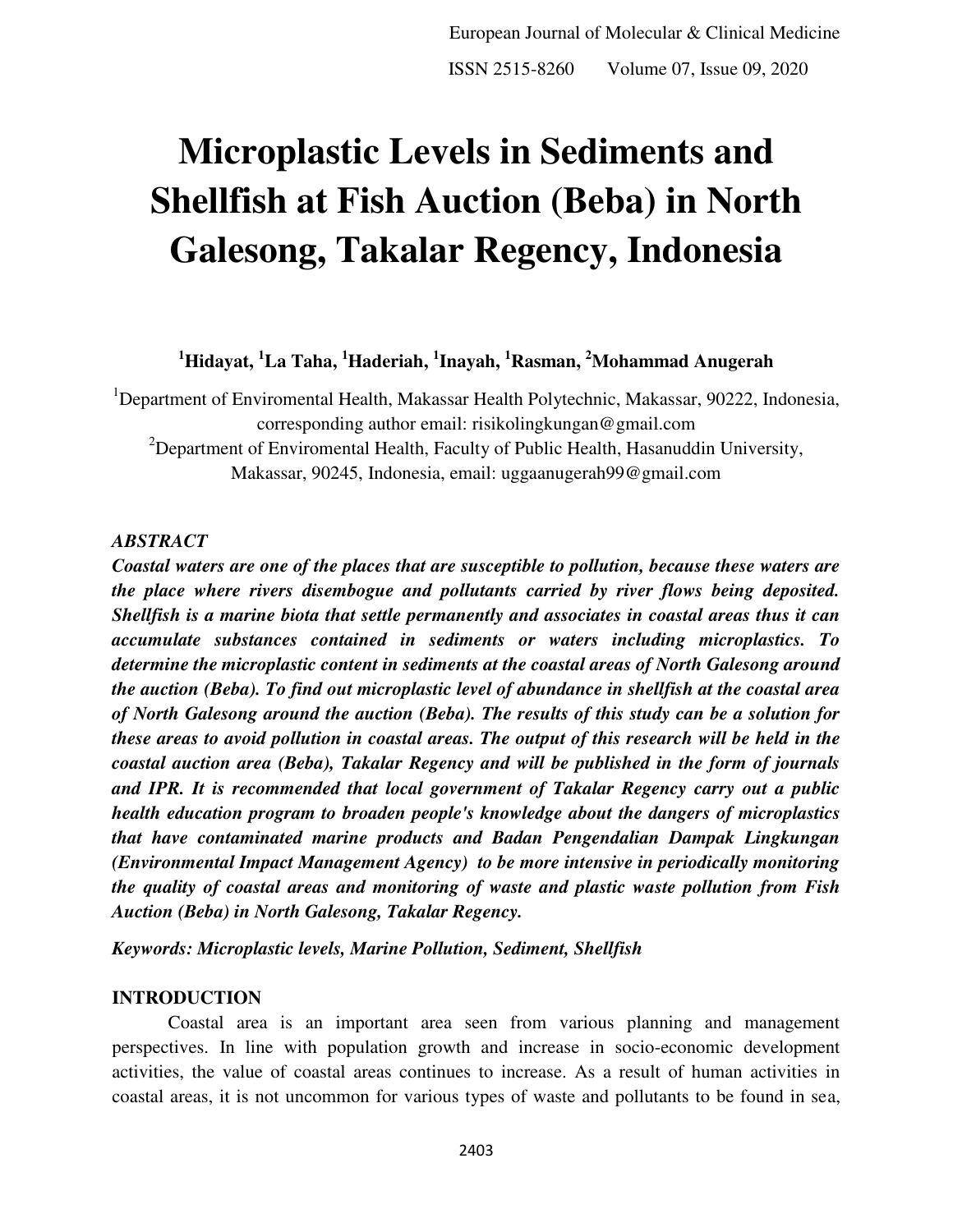# **Microplastic Levels in Sediments and Shellfish at Fish Auction (Beba) in North Galesong, Takalar Regency, Indonesia**

**<sup>1</sup>Hidayat, <sup>1</sup>La Taha, <sup>1</sup>Haderiah, <sup>1</sup> Inayah, <sup>1</sup>Rasman, <sup>2</sup>Mohammad Anugerah** 

<sup>1</sup>Department of Enviromental Health, Makassar Health Polytechnic, Makassar, 90222, Indonesia, corresponding author email: [risikolingkungan@gmail.com](mailto:risikolingkungan@gmail.com)  <sup>2</sup>Department of Enviromental Health, Faculty of Public Health, Hasanuddin University,

Makassar, 90245, Indonesia, email: uggaanugerah99@gmail.com

## *ABSTRACT*

*Coastal waters are one of the places that are susceptible to pollution, because these waters are the place where rivers disembogue and pollutants carried by river flows being deposited. Shellfish is a marine biota that settle permanently and associates in coastal areas thus it can accumulate substances contained in sediments or waters including microplastics. To determine the microplastic content in sediments at the coastal areas of North Galesong around the auction (Beba). To find out microplastic level of abundance in shellfish at the coastal area of North Galesong around the auction (Beba). The results of this study can be a solution for these areas to avoid pollution in coastal areas. The output of this research will be held in the coastal auction area (Beba), Takalar Regency and will be published in the form of journals and IPR. It is recommended that local government of Takalar Regency carry out a public health education program to broaden people's knowledge about the dangers of microplastics that have contaminated marine products and Badan Pengendalian Dampak Lingkungan (Environmental Impact Management Agency) to be more intensive in periodically monitoring the quality of coastal areas and monitoring of waste and plastic waste pollution from Fish Auction (Beba) in North Galesong, Takalar Regency.* 

*Keywords: Microplastic levels, Marine Pollution, Sediment, Shellfish* 

# **INTRODUCTION**

Coastal area is an important area seen from various planning and management perspectives. In line with population growth and increase in socio-economic development activities, the value of coastal areas continues to increase. As a result of human activities in coastal areas, it is not uncommon for various types of waste and pollutants to be found in sea,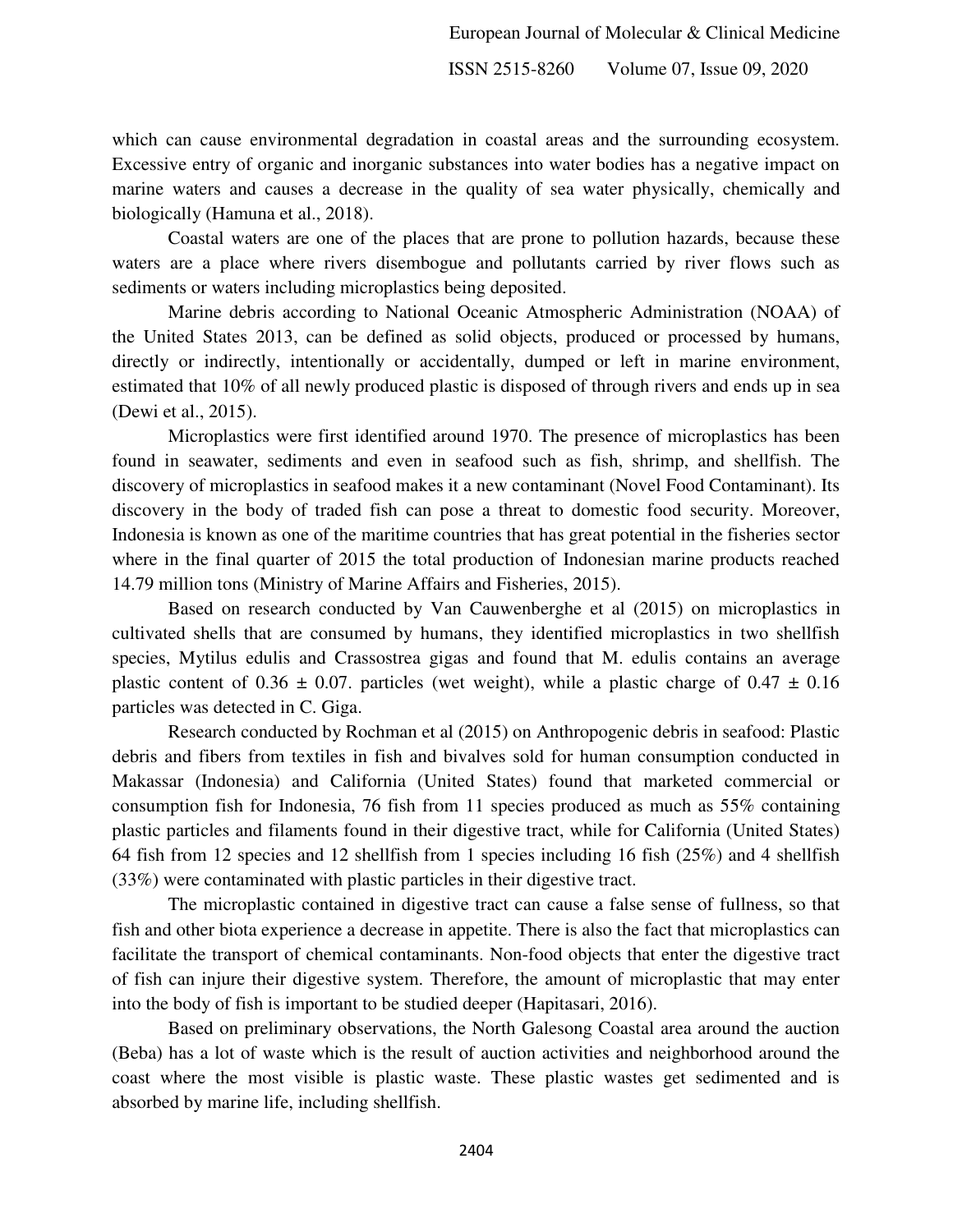which can cause environmental degradation in coastal areas and the surrounding ecosystem. Excessive entry of organic and inorganic substances into water bodies has a negative impact on marine waters and causes a decrease in the quality of sea water physically, chemically and biologically (Hamuna et al., 2018).

Coastal waters are one of the places that are prone to pollution hazards, because these waters are a place where rivers disembogue and pollutants carried by river flows such as sediments or waters including microplastics being deposited.

Marine debris according to National Oceanic Atmospheric Administration (NOAA) of the United States 2013, can be defined as solid objects, produced or processed by humans, directly or indirectly, intentionally or accidentally, dumped or left in marine environment, estimated that 10% of all newly produced plastic is disposed of through rivers and ends up in sea (Dewi et al., 2015).

Microplastics were first identified around 1970. The presence of microplastics has been found in seawater, sediments and even in seafood such as fish, shrimp, and shellfish. The discovery of microplastics in seafood makes it a new contaminant (Novel Food Contaminant). Its discovery in the body of traded fish can pose a threat to domestic food security. Moreover, Indonesia is known as one of the maritime countries that has great potential in the fisheries sector where in the final quarter of 2015 the total production of Indonesian marine products reached 14.79 million tons (Ministry of Marine Affairs and Fisheries, 2015).

Based on research conducted by Van Cauwenberghe et al (2015) on microplastics in cultivated shells that are consumed by humans, they identified microplastics in two shellfish species, Mytilus edulis and Crassostrea gigas and found that M. edulis contains an average plastic content of 0.36  $\pm$  0.07. particles (wet weight), while a plastic charge of 0.47  $\pm$  0.16 particles was detected in C. Giga.

Research conducted by Rochman et al (2015) on Anthropogenic debris in seafood: Plastic debris and fibers from textiles in fish and bivalves sold for human consumption conducted in Makassar (Indonesia) and California (United States) found that marketed commercial or consumption fish for Indonesia, 76 fish from 11 species produced as much as 55% containing plastic particles and filaments found in their digestive tract, while for California (United States) 64 fish from 12 species and 12 shellfish from 1 species including 16 fish (25%) and 4 shellfish (33%) were contaminated with plastic particles in their digestive tract.

The microplastic contained in digestive tract can cause a false sense of fullness, so that fish and other biota experience a decrease in appetite. There is also the fact that microplastics can facilitate the transport of chemical contaminants. Non-food objects that enter the digestive tract of fish can injure their digestive system. Therefore, the amount of microplastic that may enter into the body of fish is important to be studied deeper (Hapitasari, 2016).

Based on preliminary observations, the North Galesong Coastal area around the auction (Beba) has a lot of waste which is the result of auction activities and neighborhood around the coast where the most visible is plastic waste. These plastic wastes get sedimented and is absorbed by marine life, including shellfish.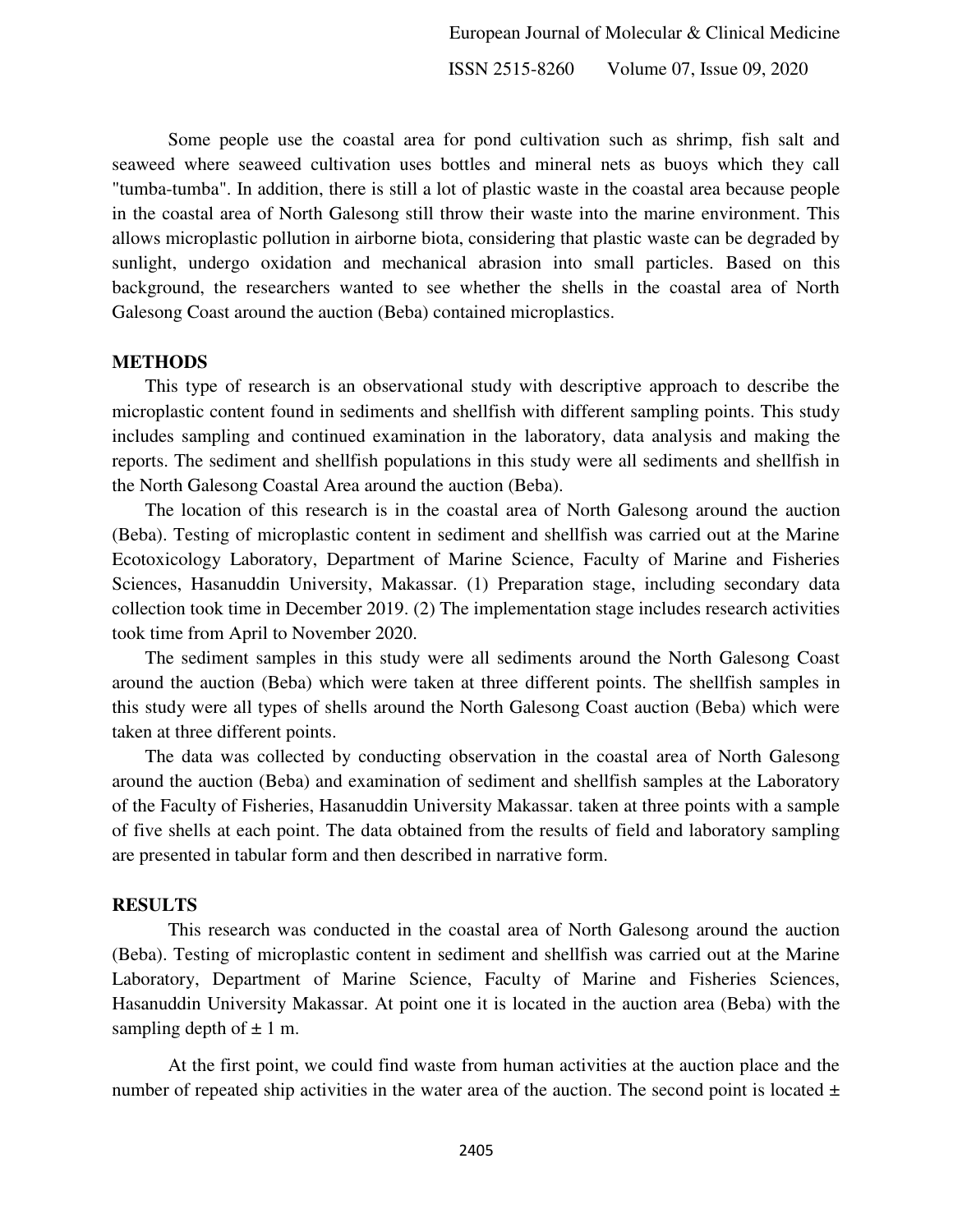Some people use the coastal area for pond cultivation such as shrimp, fish salt and seaweed where seaweed cultivation uses bottles and mineral nets as buoys which they call "tumba-tumba". In addition, there is still a lot of plastic waste in the coastal area because people in the coastal area of North Galesong still throw their waste into the marine environment. This allows microplastic pollution in airborne biota, considering that plastic waste can be degraded by sunlight, undergo oxidation and mechanical abrasion into small particles. Based on this background, the researchers wanted to see whether the shells in the coastal area of North Galesong Coast around the auction (Beba) contained microplastics.

#### **METHODS**

This type of research is an observational study with descriptive approach to describe the microplastic content found in sediments and shellfish with different sampling points. This study includes sampling and continued examination in the laboratory, data analysis and making the reports. The sediment and shellfish populations in this study were all sediments and shellfish in the North Galesong Coastal Area around the auction (Beba).

The location of this research is in the coastal area of North Galesong around the auction (Beba). Testing of microplastic content in sediment and shellfish was carried out at the Marine Ecotoxicology Laboratory, Department of Marine Science, Faculty of Marine and Fisheries Sciences, Hasanuddin University, Makassar. (1) Preparation stage, including secondary data collection took time in December 2019. (2) The implementation stage includes research activities took time from April to November 2020.

The sediment samples in this study were all sediments around the North Galesong Coast around the auction (Beba) which were taken at three different points. The shellfish samples in this study were all types of shells around the North Galesong Coast auction (Beba) which were taken at three different points.

The data was collected by conducting observation in the coastal area of North Galesong around the auction (Beba) and examination of sediment and shellfish samples at the Laboratory of the Faculty of Fisheries, Hasanuddin University Makassar. taken at three points with a sample of five shells at each point. The data obtained from the results of field and laboratory sampling are presented in tabular form and then described in narrative form.

#### **RESULTS**

This research was conducted in the coastal area of North Galesong around the auction (Beba). Testing of microplastic content in sediment and shellfish was carried out at the Marine Laboratory, Department of Marine Science, Faculty of Marine and Fisheries Sciences, Hasanuddin University Makassar. At point one it is located in the auction area (Beba) with the sampling depth of  $\pm$  1 m.

At the first point, we could find waste from human activities at the auction place and the number of repeated ship activities in the water area of the auction. The second point is located  $\pm$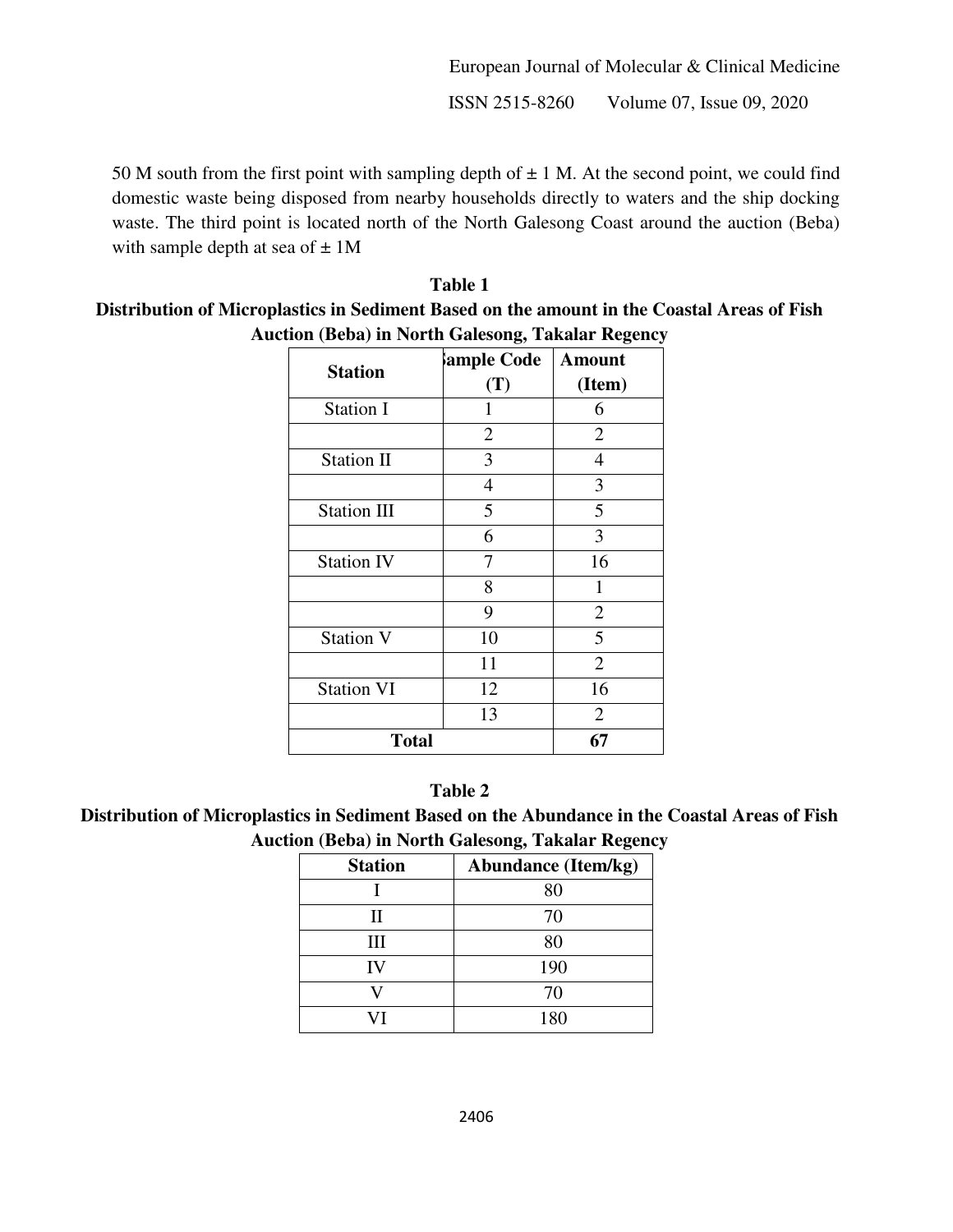European Journal of Molecular & Clinical Medicine ISSN 2515-8260 Volume 07, Issue 09, 2020

50 M south from the first point with sampling depth of  $\pm$  1 M. At the second point, we could find domestic waste being disposed from nearby households directly to waters and the ship docking waste. The third point is located north of the North Galesong Coast around the auction (Beba) with sample depth at sea of  $\pm 1$ M

# **Table 1 Distribution of Microplastics in Sediment Based on the amount in the Coastal Areas of Fish Auction (Beba) in North Galesong, Takalar Regency**

|                    | ample Code     | <b>Amount</b>  |  |  |  |  |
|--------------------|----------------|----------------|--|--|--|--|
| <b>Station</b>     | (T)            | (Item)         |  |  |  |  |
| <b>Station I</b>   | 1              | 6              |  |  |  |  |
|                    | $\overline{2}$ | $\overline{2}$ |  |  |  |  |
| Station II         | 3              | 4              |  |  |  |  |
|                    | 4              | 3              |  |  |  |  |
| <b>Station III</b> | 5              | 5              |  |  |  |  |
|                    | 6              | 3              |  |  |  |  |
| <b>Station IV</b>  | 7              | 16             |  |  |  |  |
|                    | 8              | 1              |  |  |  |  |
|                    | 9              | $\mathbf{2}$   |  |  |  |  |
| <b>Station V</b>   | 10             | 5              |  |  |  |  |
|                    | 11             | $\overline{2}$ |  |  |  |  |
| <b>Station VI</b>  | 12             | 16             |  |  |  |  |
|                    | 13             | $\overline{2}$ |  |  |  |  |
| <b>Total</b>       |                |                |  |  |  |  |

## **Table 2**

**Distribution of Microplastics in Sediment Based on the Abundance in the Coastal Areas of Fish Auction (Beba) in North Galesong, Takalar Regency** 

| <b>Station</b> | <b>Abundance (Item/kg)</b> |
|----------------|----------------------------|
|                | 80                         |
| П              | 70                         |
| Ш              | 80                         |
| IV             | 190                        |
|                | 70                         |
|                | 180                        |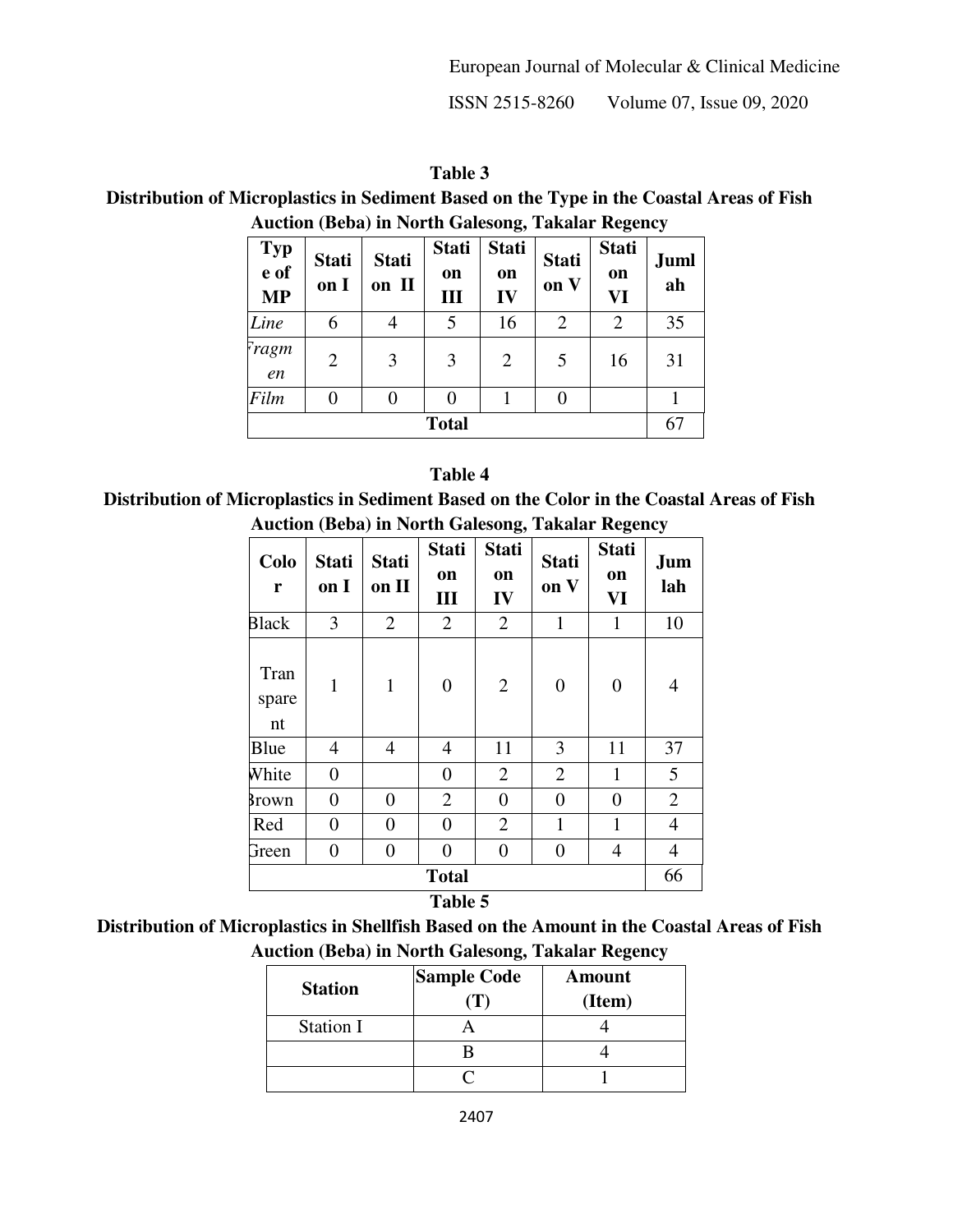ISSN 2515-8260 Volume 07, Issue 09, 2020

**Table 3 Distribution of Microplastics in Sediment Based on the Type in the Coastal Areas of Fish Auction (Beba) in North Galesong, Takalar Regency** 

| <b>Typ</b><br>e of<br><b>MP</b> | <b>Stati</b><br>on I | <b>Stati</b><br>on II | <b>Stati</b><br>on<br>Ш | <b>Stati</b><br>on<br>IV | <b>Stati</b><br>on V | <b>Stati</b><br>on<br>VI | <b>Juml</b><br>ah |
|---------------------------------|----------------------|-----------------------|-------------------------|--------------------------|----------------------|--------------------------|-------------------|
| Line                            | 6                    | 4                     |                         | 16                       | $\overline{2}$       | $\overline{2}$           | 35                |
| Fragm<br>en                     | $\overline{2}$       | 3                     | 3                       | $\overline{2}$           | 5                    | 16                       | 31                |
| Film                            | 0                    | 0                     |                         |                          |                      |                          |                   |
| <b>Total</b>                    |                      |                       |                         |                          |                      |                          | 67                |

#### **Table 4**

**Distribution of Microplastics in Sediment Based on the Color in the Coastal Areas of Fish Auction (Beba) in North Galesong, Takalar Regency** 

| Colo<br>r               | <b>Stati</b><br>on I | <b>Stati</b><br>on II | <b>Stati</b><br>on<br>Ш | <b>Stati</b><br>on<br>IV | <b>Stati</b><br>on V | <b>Stati</b><br>on<br>VI | <b>Jum</b><br>lah |
|-------------------------|----------------------|-----------------------|-------------------------|--------------------------|----------------------|--------------------------|-------------------|
| <b>Black</b>            | 3                    | $\overline{2}$        | 2                       | $\overline{2}$           | $\mathbf{1}$         | $\mathbf{1}$             | 10                |
| Tran<br>spare<br>nt     | $\mathbf{1}$         | $\mathbf{1}$          | $\overline{0}$          | $\overline{2}$           | $\boldsymbol{0}$     | $\overline{0}$           | $\overline{4}$    |
| Blue                    | 4                    | $\overline{4}$        | $\overline{4}$          | 11                       | 3                    | 11                       | 37                |
| White                   | $\overline{0}$       |                       | $\boldsymbol{0}$        | $\overline{2}$           | $\overline{2}$       | $\mathbf{1}$             | 5                 |
| 3rown                   | 0                    | $\overline{0}$        | $\overline{2}$          | $\boldsymbol{0}$         | $\boldsymbol{0}$     | $\overline{0}$           | $\overline{2}$    |
| Red                     | $\overline{0}$       | $\overline{0}$        | $\overline{0}$          | $\overline{2}$           | $\mathbf{1}$         | 1                        | $\overline{4}$    |
| Green                   | 0                    | $\boldsymbol{0}$      | $\overline{0}$          | $\boldsymbol{0}$         | $\boldsymbol{0}$     | 4                        | $\overline{4}$    |
| <b>Total</b><br>Table 5 |                      |                       |                         |                          |                      |                          | 66                |

**Distribution of Microplastics in Shellfish Based on the Amount in the Coastal Areas of Fish Auction (Beba) in North Galesong, Takalar Regency** 

| <b>Station</b>   | <b>Sample Code</b><br>$\perp$ ) | <b>Amount</b><br>(Item) |
|------------------|---------------------------------|-------------------------|
| <b>Station I</b> |                                 |                         |
|                  |                                 |                         |
|                  |                                 |                         |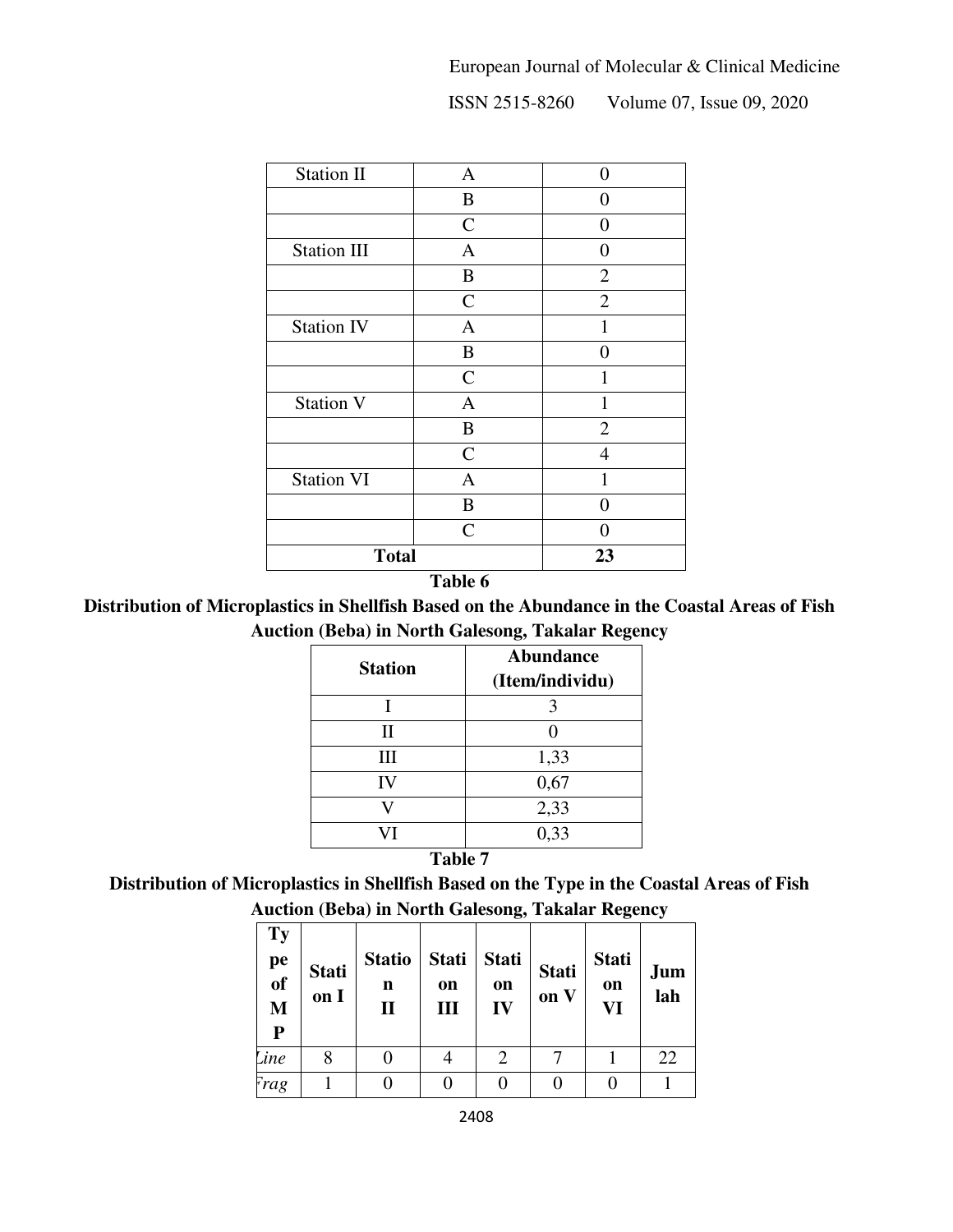ISSN 2515-8260 Volume 07, Issue 09, 2020

| <b>Station II</b>  | $\mathbf{A}$   | 0              |
|--------------------|----------------|----------------|
|                    | $\bf{B}$       | 0              |
|                    | $\mathsf{C}$   | 0              |
| <b>Station III</b> | $\overline{A}$ | 0              |
|                    | $\, {\bf B}$   | $\overline{2}$ |
|                    | $\mathsf{C}$   | $\overline{2}$ |
| <b>Station IV</b>  | $\mathbf{A}$   | $\mathbf{1}$   |
|                    | $\, {\bf B}$   | 0              |
|                    | $\mathsf{C}$   | 1              |
| <b>Station V</b>   | $\mathbf{A}$   | $\mathbf{1}$   |
|                    | $\bf{B}$       | $\overline{2}$ |
|                    | $\mathsf{C}$   | $\overline{4}$ |
| <b>Station VI</b>  | $\mathbf{A}$   | $\mathbf{1}$   |
|                    | $\bf{B}$       | 0              |
|                    | $\overline{C}$ | 0              |
| <b>Total</b>       | 23             |                |

**Table 6** 

**Distribution of Microplastics in Shellfish Based on the Abundance in the Coastal Areas of Fish Auction (Beba) in North Galesong, Takalar Regency** 

| <b>Station</b> | <b>Abundance</b><br>(Item/individu) |
|----------------|-------------------------------------|
|                |                                     |
| П              |                                     |
| Ш              | 1,33                                |
| IV             | 0,67                                |
|                | 2,33                                |
|                | 0,33                                |

#### **Table 7**

# **Distribution of Microplastics in Shellfish Based on the Type in the Coastal Areas of Fish Auction (Beba) in North Galesong, Takalar Regency**

| Ty<br>pe<br>of<br>M<br>$\mathbf{P}$ | <b>Stati</b><br>on I | <b>Statio</b><br>n<br>$\mathbf{I}$ | <b>Stati</b><br>on<br>Ш | <b>Stati</b><br>on<br>IV | <b>Stati</b><br>on V | <b>Stati</b><br>on<br>VI | Jum<br>lah |
|-------------------------------------|----------------------|------------------------------------|-------------------------|--------------------------|----------------------|--------------------------|------------|
| <b>Line</b>                         | 8                    |                                    |                         | 2                        |                      |                          | 22         |
| Frag                                |                      |                                    |                         |                          |                      |                          |            |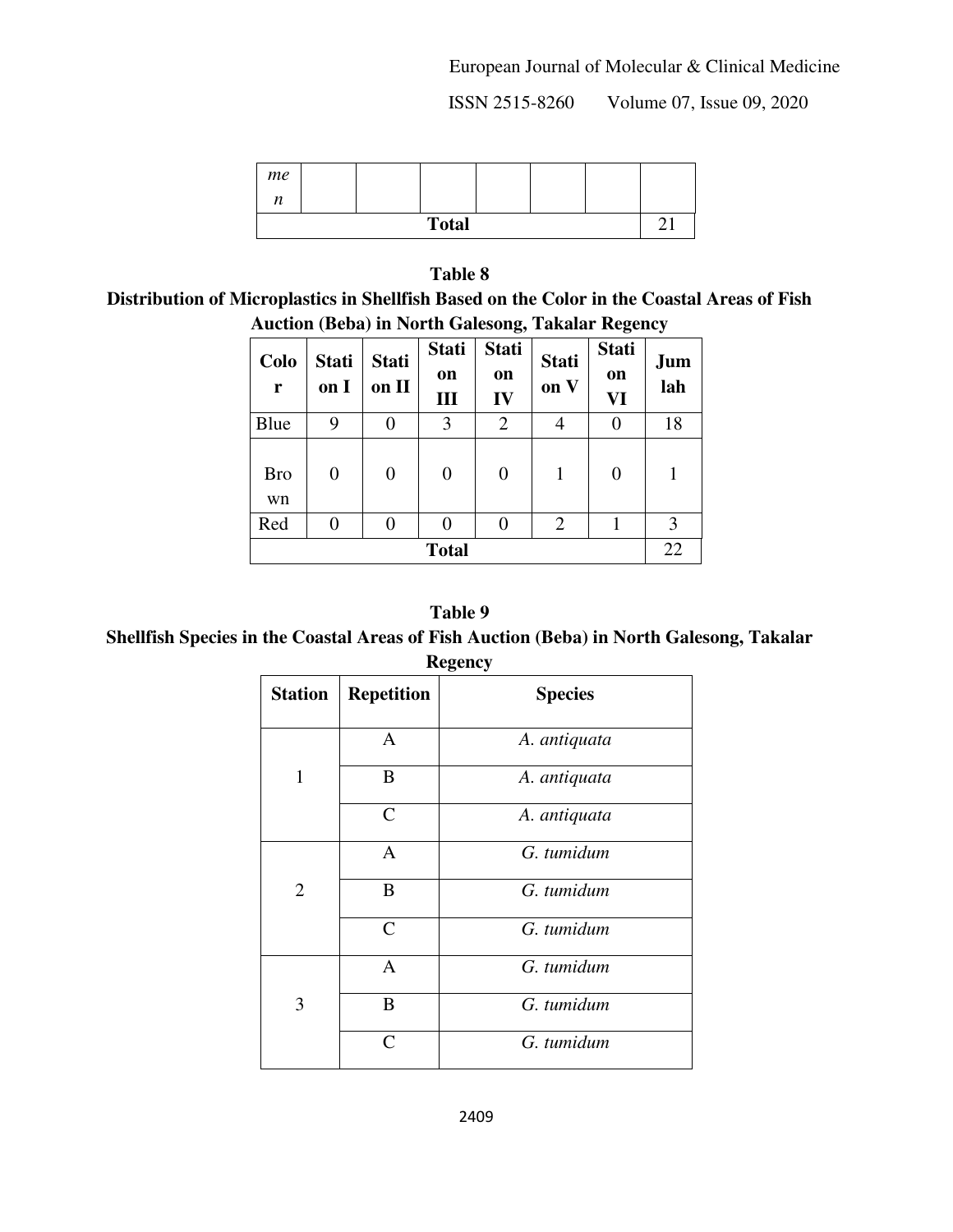European Journal of Molecular & Clinical Medicine

ISSN 2515-8260 Volume 07, Issue 09, 2020

| me                         |  |  |  |  |  |  |
|----------------------------|--|--|--|--|--|--|
| $\boldsymbol{\eta}$<br>1 L |  |  |  |  |  |  |
| <b>Total</b>               |  |  |  |  |  |  |

**Table 8 Distribution of Microplastics in Shellfish Based on the Color in the Coastal Areas of Fish Auction (Beba) in North Galesong, Takalar Regency** 

|                  |                      |                       |                         | $\mathbf{C}$             |                      | o                        | $\overline{\phantom{a}}$ |
|------------------|----------------------|-----------------------|-------------------------|--------------------------|----------------------|--------------------------|--------------------------|
| Colo<br>r        | <b>Stati</b><br>on I | <b>Stati</b><br>on II | <b>Stati</b><br>on<br>Ш | <b>Stati</b><br>on<br>IV | <b>Stati</b><br>on V | <b>Stati</b><br>on<br>VI | Jum<br>lah               |
| Blue             | 9                    | 0                     | 3                       | $\overline{2}$           |                      | 0                        | 18                       |
| <b>Bro</b><br>wn | 0                    | $\theta$              | $\overline{0}$          | $\boldsymbol{0}$         | 1                    | 0                        |                          |
| Red              | 0                    | 0                     | 0                       | 0                        | $\overline{2}$       |                          | 3                        |
| <b>Total</b>     |                      |                       |                         |                          |                      | 22                       |                          |

#### **Table 9**

**Shellfish Species in the Coastal Areas of Fish Auction (Beba) in North Galesong, Takalar Regency** 

| <b>Station</b> | <b>Repetition</b> | <b>Species</b> |
|----------------|-------------------|----------------|
|                | A                 | A. antiquata   |
| 1              | B                 | A. antiquata   |
|                | $\mathsf{C}$      | A. antiquata   |
|                | $\mathbf{A}$      | G. tumidum     |
| $\overline{2}$ | B                 | G. tumidum     |
|                | $\mathcal{C}$     | G. tumidum     |
|                | $\mathbf{A}$      | G. tumidum     |
| 3              | B                 | G. tumidum     |
|                | $\mathsf{\Gamma}$ | G. tumidum     |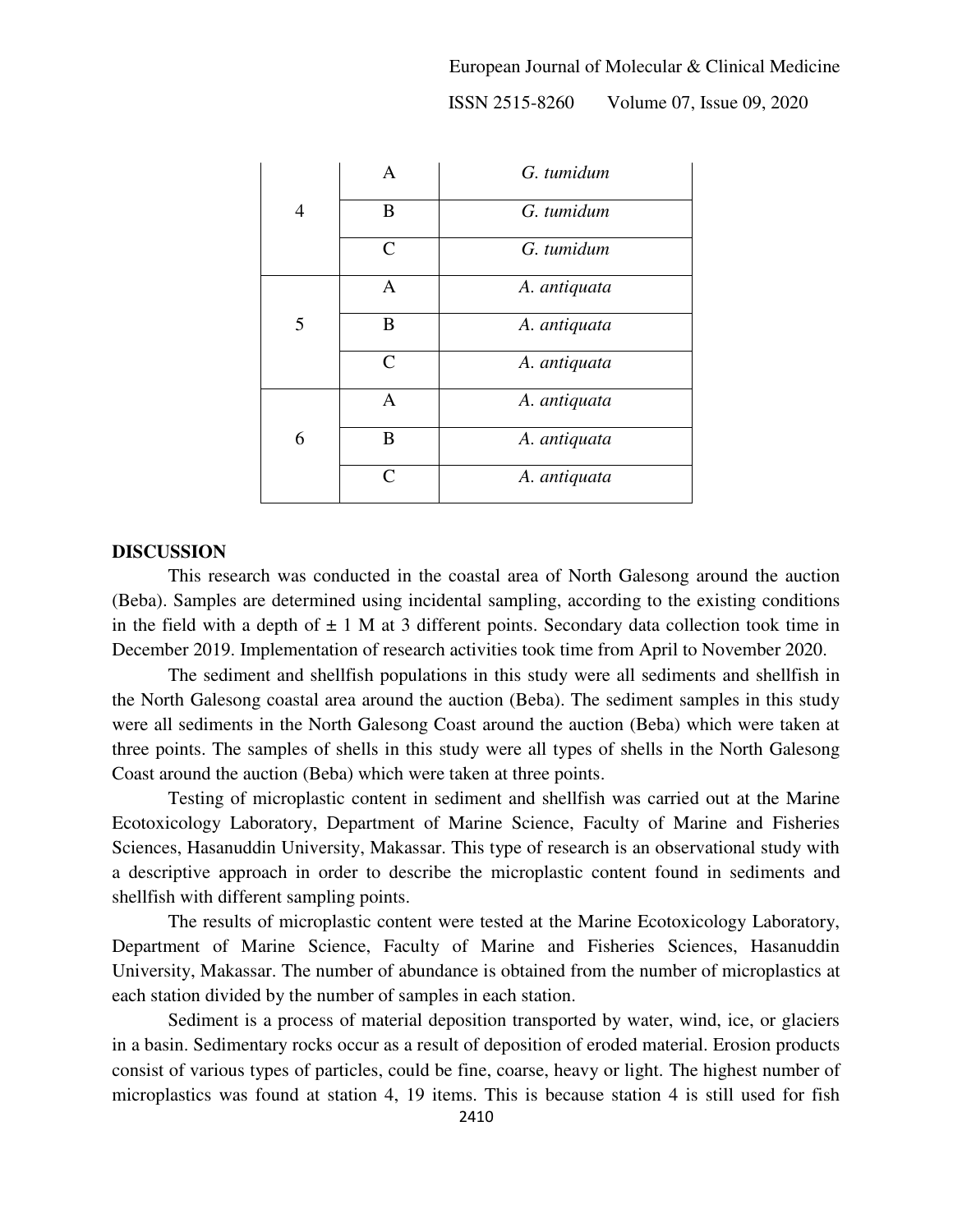European Journal of Molecular & Clinical Medicine

ISSN 2515-8260 Volume 07, Issue 09, 2020

|   | A                           | G. tumidum   |
|---|-----------------------------|--------------|
| 4 | B                           | G. tumidum   |
|   | $\mathcal{C}_{\mathcal{C}}$ | G. tumidum   |
|   | $\mathbf{A}$                | A. antiquata |
| 5 | B                           | A. antiquata |
|   | $\mathsf{C}$                | A. antiquata |
|   | A                           | A. antiquata |
| 6 | B                           | A. antiquata |
|   | $\subset$                   | A. antiquata |

#### **DISCUSSION**

This research was conducted in the coastal area of North Galesong around the auction (Beba). Samples are determined using incidental sampling, according to the existing conditions in the field with a depth of  $\pm 1$  M at 3 different points. Secondary data collection took time in December 2019. Implementation of research activities took time from April to November 2020.

The sediment and shellfish populations in this study were all sediments and shellfish in the North Galesong coastal area around the auction (Beba). The sediment samples in this study were all sediments in the North Galesong Coast around the auction (Beba) which were taken at three points. The samples of shells in this study were all types of shells in the North Galesong Coast around the auction (Beba) which were taken at three points.

Testing of microplastic content in sediment and shellfish was carried out at the Marine Ecotoxicology Laboratory, Department of Marine Science, Faculty of Marine and Fisheries Sciences, Hasanuddin University, Makassar. This type of research is an observational study with a descriptive approach in order to describe the microplastic content found in sediments and shellfish with different sampling points.

The results of microplastic content were tested at the Marine Ecotoxicology Laboratory, Department of Marine Science, Faculty of Marine and Fisheries Sciences, Hasanuddin University, Makassar. The number of abundance is obtained from the number of microplastics at each station divided by the number of samples in each station.

Sediment is a process of material deposition transported by water, wind, ice, or glaciers in a basin. Sedimentary rocks occur as a result of deposition of eroded material. Erosion products consist of various types of particles, could be fine, coarse, heavy or light. The highest number of microplastics was found at station 4, 19 items. This is because station 4 is still used for fish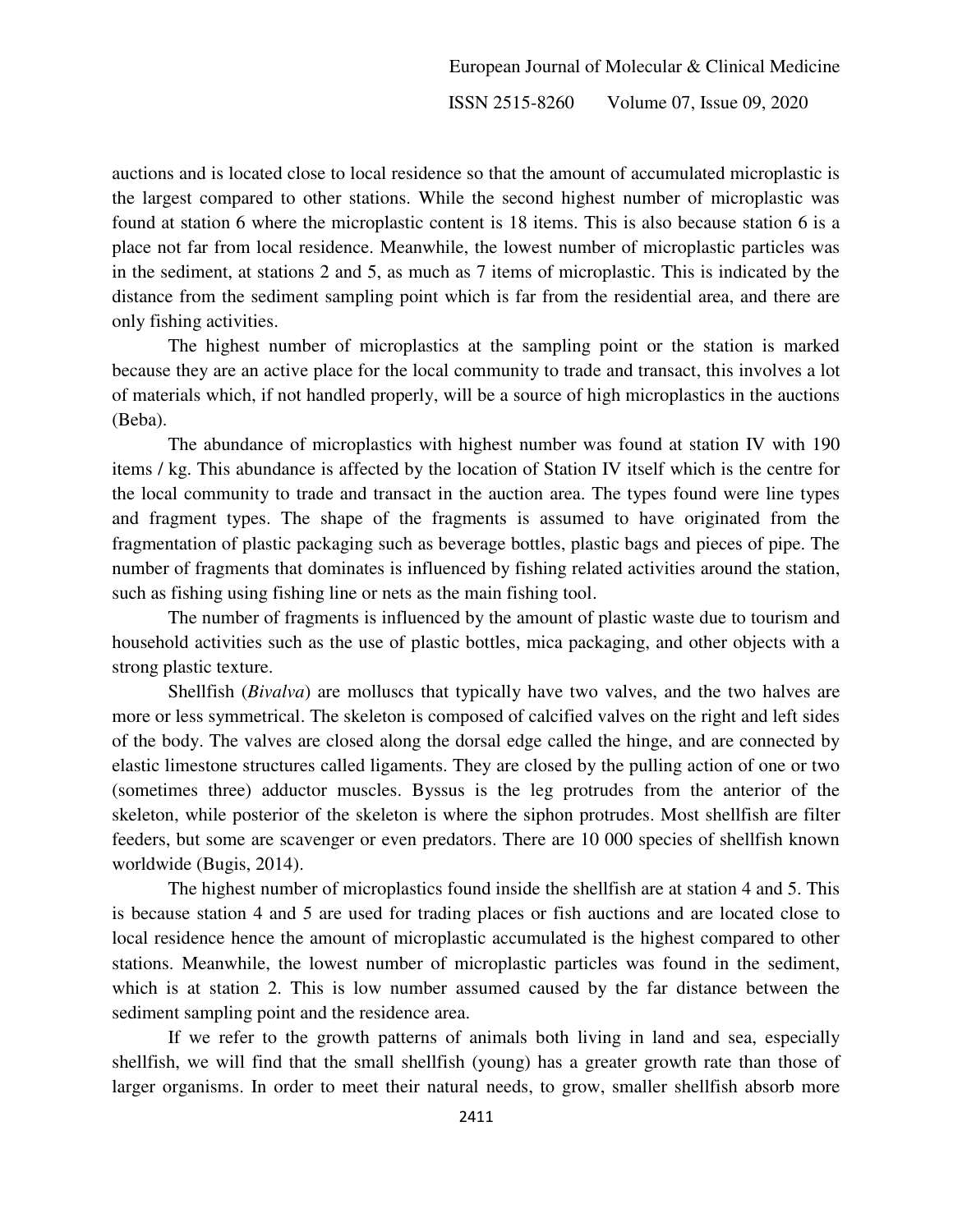auctions and is located close to local residence so that the amount of accumulated microplastic is the largest compared to other stations. While the second highest number of microplastic was found at station 6 where the microplastic content is 18 items. This is also because station 6 is a place not far from local residence. Meanwhile, the lowest number of microplastic particles was in the sediment, at stations 2 and 5, as much as 7 items of microplastic. This is indicated by the distance from the sediment sampling point which is far from the residential area, and there are only fishing activities.

The highest number of microplastics at the sampling point or the station is marked because they are an active place for the local community to trade and transact, this involves a lot of materials which, if not handled properly, will be a source of high microplastics in the auctions (Beba).

The abundance of microplastics with highest number was found at station IV with 190 items / kg. This abundance is affected by the location of Station IV itself which is the centre for the local community to trade and transact in the auction area. The types found were line types and fragment types. The shape of the fragments is assumed to have originated from the fragmentation of plastic packaging such as beverage bottles, plastic bags and pieces of pipe. The number of fragments that dominates is influenced by fishing related activities around the station, such as fishing using fishing line or nets as the main fishing tool.

The number of fragments is influenced by the amount of plastic waste due to tourism and household activities such as the use of plastic bottles, mica packaging, and other objects with a strong plastic texture.

Shellfish (*Bivalva*) are molluscs that typically have two valves, and the two halves are more or less symmetrical. The skeleton is composed of calcified valves on the right and left sides of the body. The valves are closed along the dorsal edge called the hinge, and are connected by elastic limestone structures called ligaments. They are closed by the pulling action of one or two (sometimes three) adductor muscles. Byssus is the leg protrudes from the anterior of the skeleton, while posterior of the skeleton is where the siphon protrudes. Most shellfish are filter feeders, but some are scavenger or even predators. There are 10 000 species of shellfish known worldwide (Bugis, 2014).

The highest number of microplastics found inside the shellfish are at station 4 and 5. This is because station 4 and 5 are used for trading places or fish auctions and are located close to local residence hence the amount of microplastic accumulated is the highest compared to other stations. Meanwhile, the lowest number of microplastic particles was found in the sediment, which is at station 2. This is low number assumed caused by the far distance between the sediment sampling point and the residence area.

If we refer to the growth patterns of animals both living in land and sea, especially shellfish, we will find that the small shellfish (young) has a greater growth rate than those of larger organisms. In order to meet their natural needs, to grow, smaller shellfish absorb more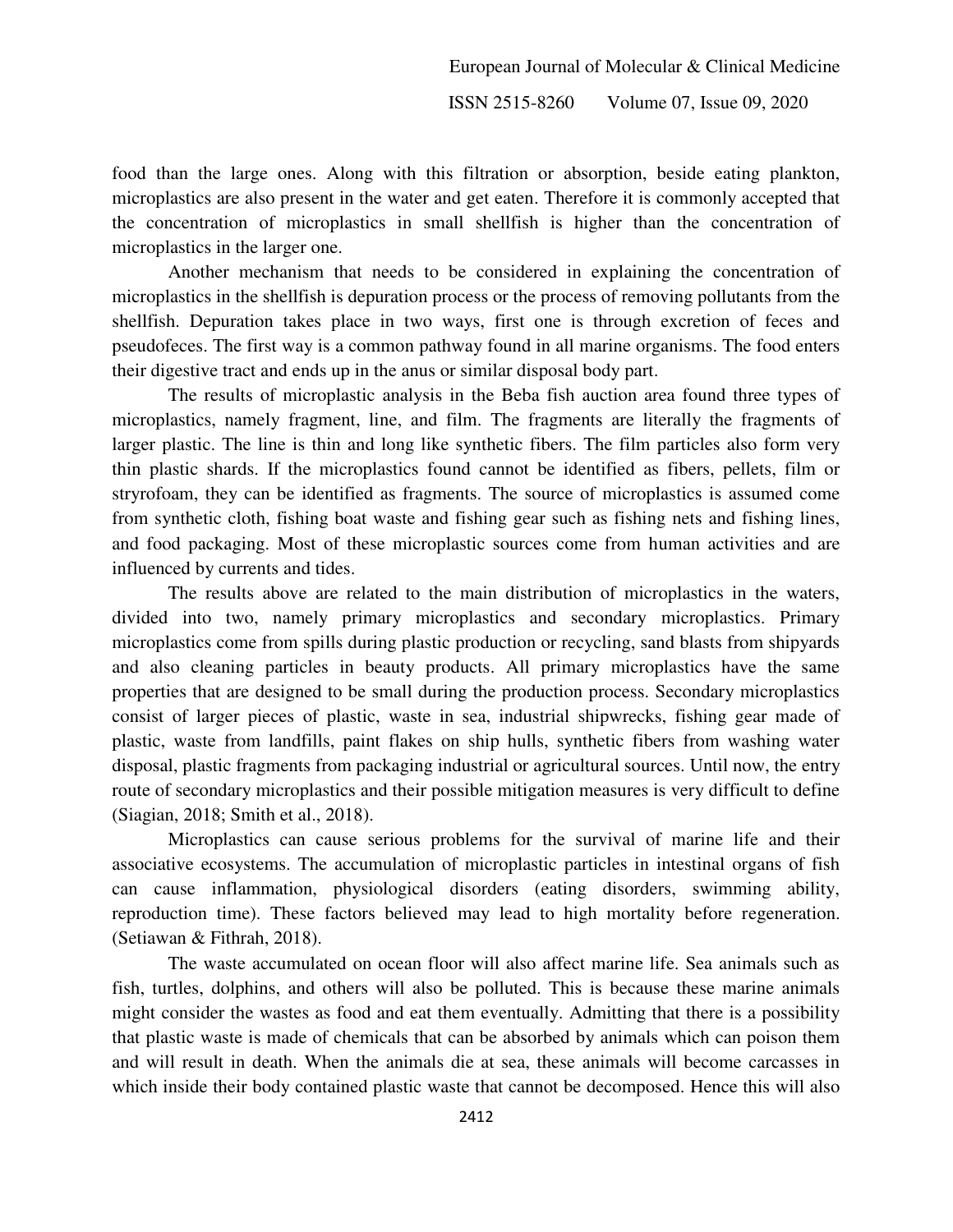food than the large ones. Along with this filtration or absorption, beside eating plankton, microplastics are also present in the water and get eaten. Therefore it is commonly accepted that the concentration of microplastics in small shellfish is higher than the concentration of microplastics in the larger one.

Another mechanism that needs to be considered in explaining the concentration of microplastics in the shellfish is depuration process or the process of removing pollutants from the shellfish. Depuration takes place in two ways, first one is through excretion of feces and pseudofeces. The first way is a common pathway found in all marine organisms. The food enters their digestive tract and ends up in the anus or similar disposal body part.

The results of microplastic analysis in the Beba fish auction area found three types of microplastics, namely fragment, line, and film. The fragments are literally the fragments of larger plastic. The line is thin and long like synthetic fibers. The film particles also form very thin plastic shards. If the microplastics found cannot be identified as fibers, pellets, film or stryrofoam, they can be identified as fragments. The source of microplastics is assumed come from synthetic cloth, fishing boat waste and fishing gear such as fishing nets and fishing lines, and food packaging. Most of these microplastic sources come from human activities and are influenced by currents and tides.

The results above are related to the main distribution of microplastics in the waters, divided into two, namely primary microplastics and secondary microplastics. Primary microplastics come from spills during plastic production or recycling, sand blasts from shipyards and also cleaning particles in beauty products. All primary microplastics have the same properties that are designed to be small during the production process. Secondary microplastics consist of larger pieces of plastic, waste in sea, industrial shipwrecks, fishing gear made of plastic, waste from landfills, paint flakes on ship hulls, synthetic fibers from washing water disposal, plastic fragments from packaging industrial or agricultural sources. Until now, the entry route of secondary microplastics and their possible mitigation measures is very difficult to define (Siagian, 2018; Smith et al., 2018).

Microplastics can cause serious problems for the survival of marine life and their associative ecosystems. The accumulation of microplastic particles in intestinal organs of fish can cause inflammation, physiological disorders (eating disorders, swimming ability, reproduction time). These factors believed may lead to high mortality before regeneration. (Setiawan & Fithrah, 2018).

The waste accumulated on ocean floor will also affect marine life. Sea animals such as fish, turtles, dolphins, and others will also be polluted. This is because these marine animals might consider the wastes as food and eat them eventually. Admitting that there is a possibility that plastic waste is made of chemicals that can be absorbed by animals which can poison them and will result in death. When the animals die at sea, these animals will become carcasses in which inside their body contained plastic waste that cannot be decomposed. Hence this will also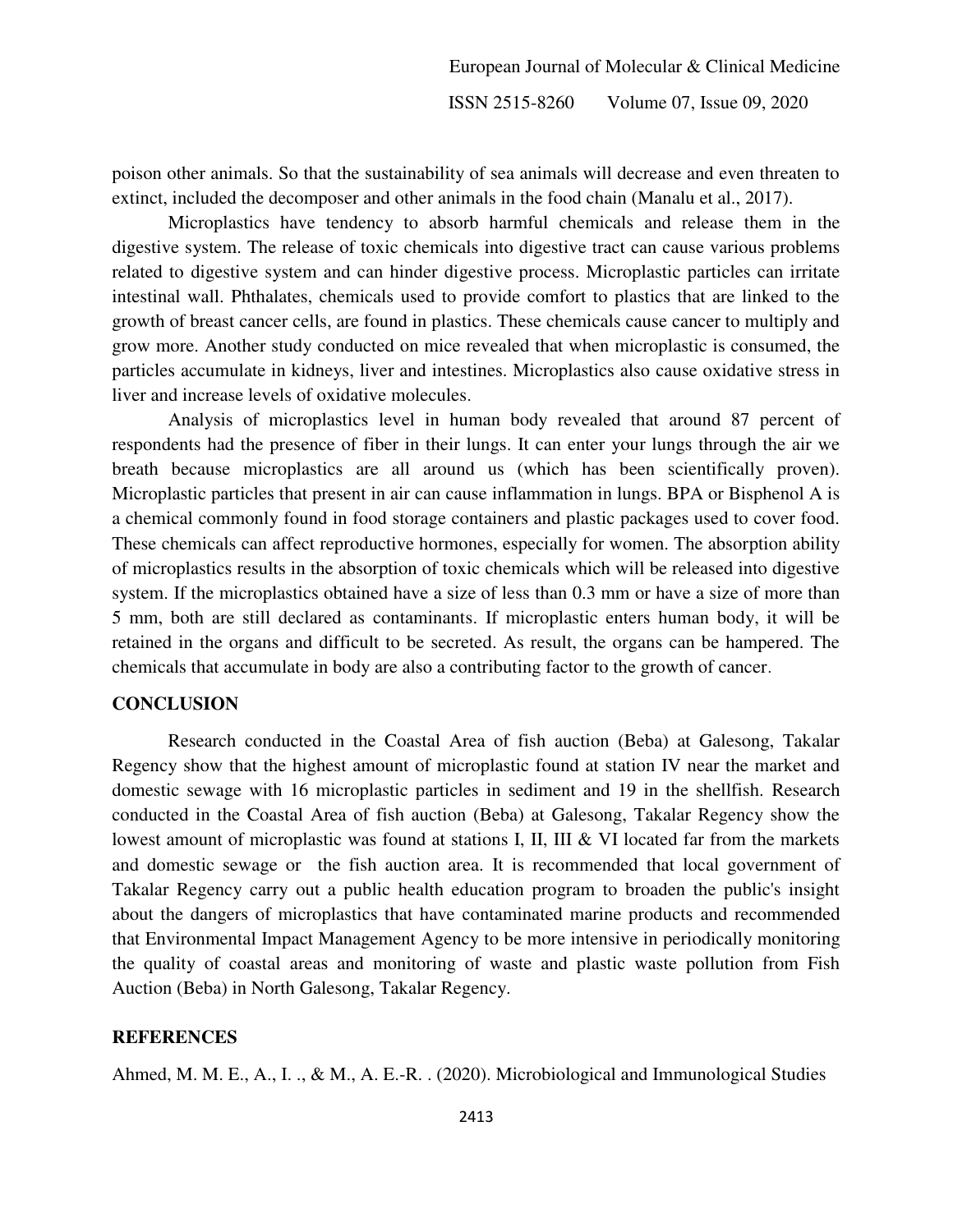poison other animals. So that the sustainability of sea animals will decrease and even threaten to extinct, included the decomposer and other animals in the food chain (Manalu et al., 2017).

Microplastics have tendency to absorb harmful chemicals and release them in the digestive system. The release of toxic chemicals into digestive tract can cause various problems related to digestive system and can hinder digestive process. Microplastic particles can irritate intestinal wall. Phthalates, chemicals used to provide comfort to plastics that are linked to the growth of breast cancer cells, are found in plastics. These chemicals cause cancer to multiply and grow more. Another study conducted on mice revealed that when microplastic is consumed, the particles accumulate in kidneys, liver and intestines. Microplastics also cause oxidative stress in liver and increase levels of oxidative molecules.

Analysis of microplastics level in human body revealed that around 87 percent of respondents had the presence of fiber in their lungs. It can enter your lungs through the air we breath because microplastics are all around us (which has been scientifically proven). Microplastic particles that present in air can cause inflammation in lungs. BPA or Bisphenol A is a chemical commonly found in food storage containers and plastic packages used to cover food. These chemicals can affect reproductive hormones, especially for women. The absorption ability of microplastics results in the absorption of toxic chemicals which will be released into digestive system. If the microplastics obtained have a size of less than 0.3 mm or have a size of more than 5 mm, both are still declared as contaminants. If microplastic enters human body, it will be retained in the organs and difficult to be secreted. As result, the organs can be hampered. The chemicals that accumulate in body are also a contributing factor to the growth of cancer.

# **CONCLUSION**

Research conducted in the Coastal Area of fish auction (Beba) at Galesong, Takalar Regency show that the highest amount of microplastic found at station IV near the market and domestic sewage with 16 microplastic particles in sediment and 19 in the shellfish. Research conducted in the Coastal Area of fish auction (Beba) at Galesong, Takalar Regency show the lowest amount of microplastic was found at stations I, II, III & VI located far from the markets and domestic sewage or the fish auction area. It is recommended that local government of Takalar Regency carry out a public health education program to broaden the public's insight about the dangers of microplastics that have contaminated marine products and recommended that Environmental Impact Management Agency to be more intensive in periodically monitoring the quality of coastal areas and monitoring of waste and plastic waste pollution from Fish Auction (Beba) in North Galesong, Takalar Regency.

#### **REFERENCES**

Ahmed, M. M. E., A., I. ., & M., A. E.-R. . (2020). Microbiological and Immunological Studies